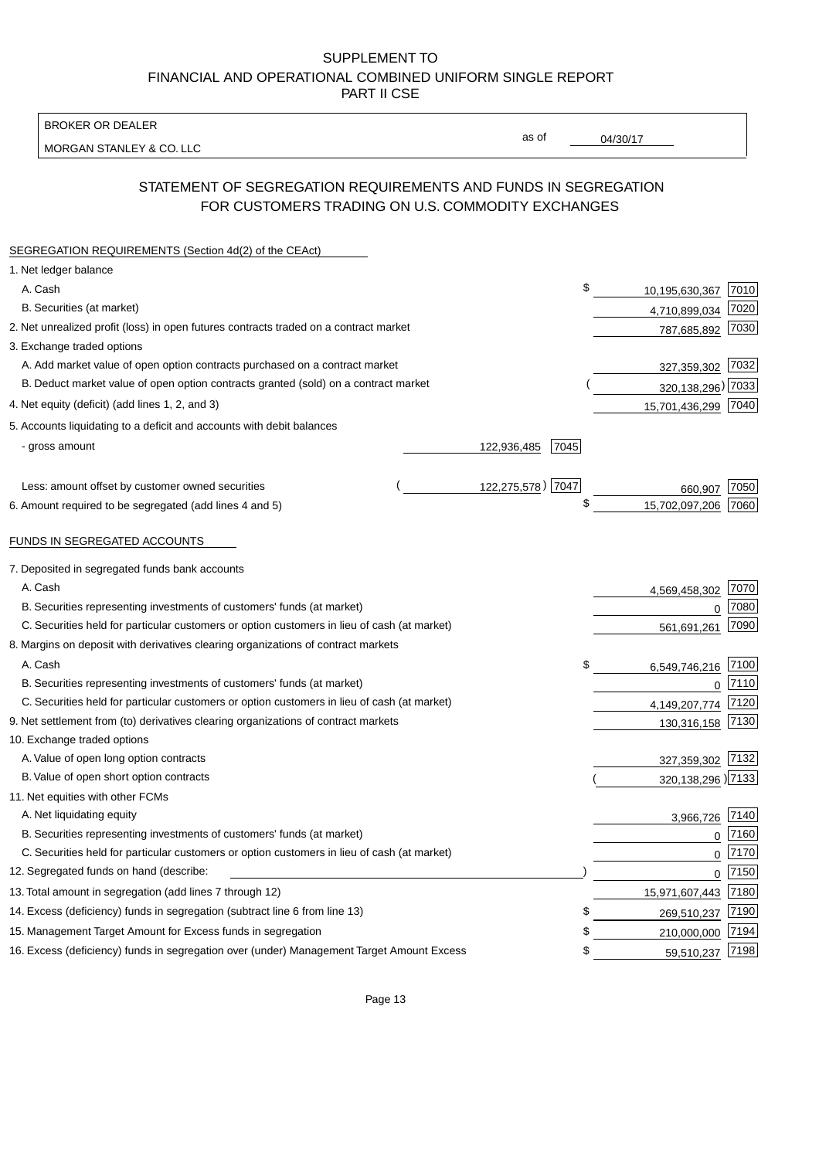BROKER OR DEALER

MORGAN STANLEY & CO. LLC

04/30/17

as of

# STATEMENT OF SEGREGATION REQUIREMENTS AND FUNDS IN SEGREGATION FOR CUSTOMERS TRADING ON U.S. COMMODITY EXCHANGES

| SEGREGATION REQUIREMENTS (Section 4d(2) of the CEAct)                                       |                     |                      |      |
|---------------------------------------------------------------------------------------------|---------------------|----------------------|------|
| 1. Net ledger balance                                                                       |                     |                      |      |
| A. Cash                                                                                     | \$                  | 10,195,630,367       | 7010 |
| B. Securities (at market)                                                                   |                     | 4,710,899,034        | 7020 |
| 2. Net unrealized profit (loss) in open futures contracts traded on a contract market       |                     | 787,685,892          | 7030 |
| 3. Exchange traded options                                                                  |                     |                      |      |
| A. Add market value of open option contracts purchased on a contract market                 |                     | 327,359,302          | 7032 |
| B. Deduct market value of open option contracts granted (sold) on a contract market         |                     | 320, 138, 296) 7033  |      |
| 4. Net equity (deficit) (add lines 1, 2, and 3)                                             |                     | 15,701,436,299 7040  |      |
| 5. Accounts liquidating to a deficit and accounts with debit balances                       |                     |                      |      |
| - gross amount                                                                              | 122,936,485<br>7045 |                      |      |
|                                                                                             |                     |                      |      |
| Less: amount offset by customer owned securities                                            | 122,275,578) 7047   | 660,907              | 7050 |
| 6. Amount required to be segregated (add lines 4 and 5)                                     | \$                  | 15,702,097,206       | 7060 |
| FUNDS IN SEGREGATED ACCOUNTS                                                                |                     |                      |      |
| 7. Deposited in segregated funds bank accounts                                              |                     |                      |      |
| A. Cash                                                                                     |                     | 4,569,458,302        | 7070 |
| B. Securities representing investments of customers' funds (at market)                      |                     | $\Omega$             | 7080 |
| C. Securities held for particular customers or option customers in lieu of cash (at market) |                     | 561,691,261          | 7090 |
| 8. Margins on deposit with derivatives clearing organizations of contract markets           |                     |                      |      |
| A. Cash                                                                                     | \$                  | 6,549,746,216        | 7100 |
| B. Securities representing investments of customers' funds (at market)                      |                     | $\overline{0}$       | 7110 |
| C. Securities held for particular customers or option customers in lieu of cash (at market) |                     | 4,149,207,774        | 7120 |
| 9. Net settlement from (to) derivatives clearing organizations of contract markets          |                     | 130,316,158          | 7130 |
| 10. Exchange traded options                                                                 |                     |                      |      |
| A. Value of open long option contracts                                                      |                     | 327,359,302          | 7132 |
| B. Value of open short option contracts                                                     |                     | 320, 138, 296 ) 7133 |      |
| 11. Net equities with other FCMs                                                            |                     |                      |      |
| A. Net liquidating equity                                                                   |                     | 3,966,726            | 7140 |
| B. Securities representing investments of customers' funds (at market)                      |                     | $\Omega$             | 7160 |
| C. Securities held for particular customers or option customers in lieu of cash (at market) |                     | $\mathbf 0$          | 7170 |
| 12. Segregated funds on hand (describe:                                                     |                     | $\mathbf 0$          | 7150 |
| 13. Total amount in segregation (add lines 7 through 12)                                    |                     | 15,971,607,443 7180  |      |
| 14. Excess (deficiency) funds in segregation (subtract line 6 from line 13)                 | S                   | 269,510,237          | 7190 |
| 15. Management Target Amount for Excess funds in segregation                                | \$                  | 210,000,000          | 7194 |
| 16. Excess (deficiency) funds in segregation over (under) Management Target Amount Excess   | \$                  | 59,510,237           | 7198 |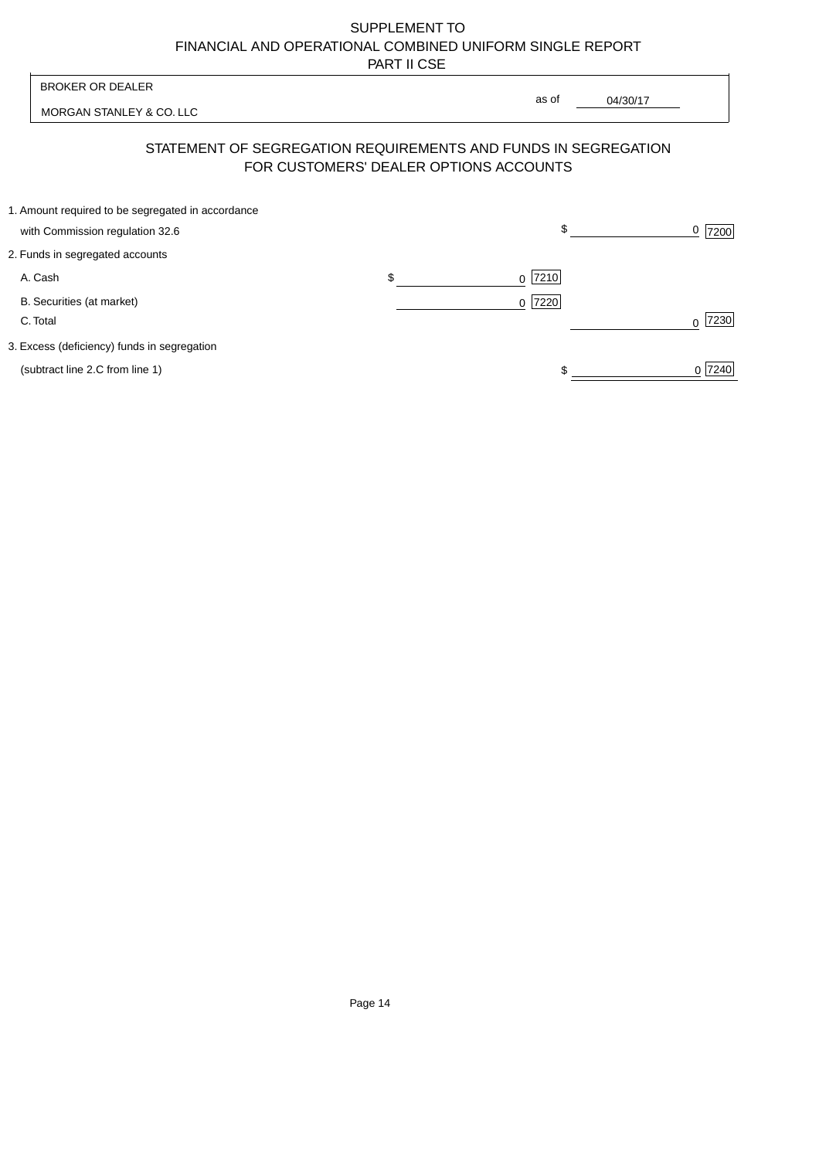| <b>BROKER OR DEALER</b>                                                              | as of                                                                                                    |                  |
|--------------------------------------------------------------------------------------|----------------------------------------------------------------------------------------------------------|------------------|
| MORGAN STANLEY & CO. LLC                                                             | 04/30/17                                                                                                 |                  |
|                                                                                      | STATEMENT OF SEGREGATION REQUIREMENTS AND FUNDS IN SEGREGATION<br>FOR CUSTOMERS' DEALER OPTIONS ACCOUNTS |                  |
| 1. Amount required to be segregated in accordance<br>with Commission regulation 32.6 | \$                                                                                                       | 0<br>7200        |
| 2. Funds in segregated accounts                                                      |                                                                                                          |                  |
| A. Cash                                                                              | \$<br>7210<br><sup>0</sup>                                                                               |                  |
| B. Securities (at market)<br>C. Total                                                | 0 7220                                                                                                   | 7230<br>$\Omega$ |
| 3. Excess (deficiency) funds in segregation                                          |                                                                                                          |                  |
| (subtract line 2.C from line 1)                                                      |                                                                                                          | 0 7240           |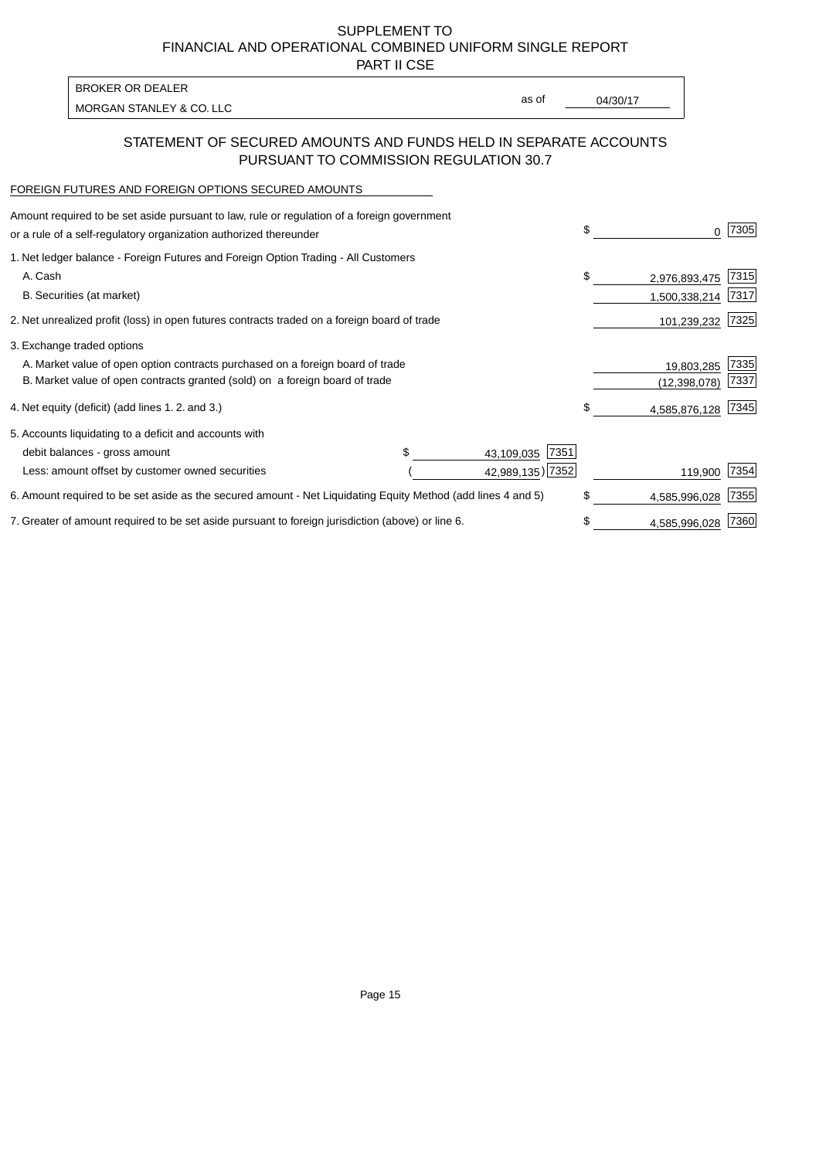PART II CSE

| <b>BROKER OR DEALER</b>  |       |          |
|--------------------------|-------|----------|
|                          | as of | 04/30/17 |
| MORGAN STANLEY & CO. LLC |       |          |

### STATEMENT OF SECURED AMOUNTS AND FUNDS HELD IN SEPARATE ACCOUNTS PURSUANT TO COMMISSION REGULATION 30.7

### FOREIGN FUTURES AND FOREIGN OPTIONS SECURED AMOUNTS

| Amount required to be set aside pursuant to law, rule or regulation of a foreign government<br>or a rule of a self-regulatory organization authorized thereunder |                    | \$<br>0             | 7305 |
|------------------------------------------------------------------------------------------------------------------------------------------------------------------|--------------------|---------------------|------|
| 1. Net ledger balance - Foreign Futures and Foreign Option Trading - All Customers                                                                               |                    |                     |      |
| A. Cash                                                                                                                                                          |                    | \$<br>2,976,893,475 | 7315 |
| B. Securities (at market)                                                                                                                                        |                    | 1,500,338,214       | 7317 |
| 2. Net unrealized profit (loss) in open futures contracts traded on a foreign board of trade                                                                     |                    | 101,239,232         | 7325 |
| 3. Exchange traded options                                                                                                                                       |                    |                     |      |
| A. Market value of open option contracts purchased on a foreign board of trade                                                                                   |                    | 19,803,285          | 7335 |
| B. Market value of open contracts granted (sold) on a foreign board of trade                                                                                     |                    | (12, 398, 078)      | 7337 |
| 4. Net equity (deficit) (add lines 1.2. and 3.)                                                                                                                  |                    | \$<br>4,585,876,128 | 7345 |
| 5. Accounts liquidating to a deficit and accounts with                                                                                                           |                    |                     |      |
| debit balances - gross amount                                                                                                                                    | 7351<br>43,109,035 |                     |      |
| Less: amount offset by customer owned securities                                                                                                                 | 42,989,135) 7352   | 119,900             | 7354 |
| 6. Amount required to be set aside as the secured amount - Net Liquidating Equity Method (add lines 4 and 5)                                                     |                    | \$<br>4,585,996,028 | 7355 |
| 7. Greater of amount required to be set aside pursuant to foreign jurisdiction (above) or line 6.                                                                |                    | \$<br>4,585,996,028 | 7360 |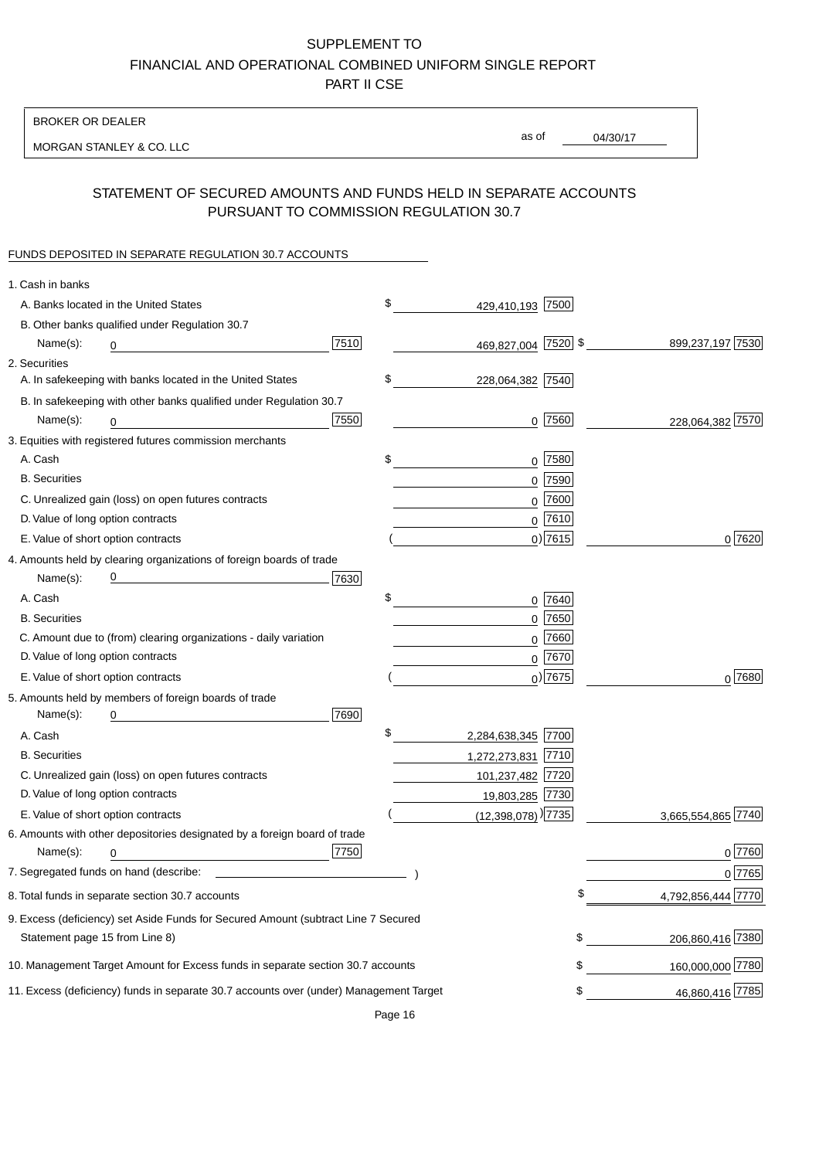BROKER OR DEALER

MORGAN STANLEY & CO. LLC

04/30/17 as of

## STATEMENT OF SECURED AMOUNTS AND FUNDS HELD IN SEPARATE ACCOUNTS PURSUANT TO COMMISSION REGULATION 30.7

#### FUNDS DEPOSITED IN SEPARATE REGULATION 30.7 ACCOUNTS

| 1. Cash in banks                                                                       |                                    |                        |
|----------------------------------------------------------------------------------------|------------------------------------|------------------------|
| A. Banks located in the United States                                                  | \$<br>429,410,193 7500             |                        |
| B. Other banks qualified under Regulation 30.7                                         |                                    |                        |
| 7510<br>Name(s):<br>0                                                                  | 469,827,004 7520 \$                | 899,237,197 7530       |
| 2. Securities                                                                          |                                    |                        |
| A. In safekeeping with banks located in the United States                              | \$<br>228,064,382 7540             |                        |
| B. In safekeeping with other banks qualified under Regulation 30.7                     |                                    |                        |
| 7550<br>Name(s):<br>0                                                                  | $0$  7560                          | 228,064,382 7570       |
| 3. Equities with registered futures commission merchants                               |                                    |                        |
| A. Cash                                                                                | \$<br>$0$ 7580                     |                        |
| <b>B.</b> Securities                                                                   | $0$ 7590                           |                        |
| C. Unrealized gain (loss) on open futures contracts                                    | $0$ 7600                           |                        |
| D. Value of long option contracts                                                      | $0^{7610}$                         |                        |
| E. Value of short option contracts                                                     | $0)$ 7615                          | 0 7620                 |
| 4. Amounts held by clearing organizations of foreign boards of trade                   |                                    |                        |
| 7630<br>Name(s):                                                                       |                                    |                        |
| A. Cash                                                                                | \$<br>0 7640                       |                        |
| <b>B.</b> Securities                                                                   | $0$ 7650                           |                        |
| C. Amount due to (from) clearing organizations - daily variation                       | $0$ 7660                           |                        |
| D. Value of long option contracts                                                      | 0 7670                             |                        |
| E. Value of short option contracts                                                     | $_0$ ) 7675                        | 0 7680                 |
| 5. Amounts held by members of foreign boards of trade                                  |                                    |                        |
| 7690<br>Name(s):<br>0                                                                  |                                    |                        |
| A. Cash                                                                                | \$<br>2,284,638,345 7700           |                        |
| <b>B.</b> Securities                                                                   | 1,272,273,831 7710                 |                        |
| C. Unrealized gain (loss) on open futures contracts                                    | 101,237,482 7720                   |                        |
| D. Value of long option contracts                                                      | 19,803,285 7730                    |                        |
| E. Value of short option contracts                                                     | $(12,398,078)$ <sup>)</sup> $7735$ | 3,665,554,865 7740     |
| 6. Amounts with other depositories designated by a foreign board of trade              |                                    |                        |
| 7750<br>Name(s):<br>0                                                                  |                                    | 0 7760                 |
|                                                                                        |                                    | 0 7765                 |
| 8. Total funds in separate section 30.7 accounts                                       |                                    | 4,792,856,444 7770     |
| 9. Excess (deficiency) set Aside Funds for Secured Amount (subtract Line 7 Secured     |                                    |                        |
| Statement page 15 from Line 8)                                                         |                                    | 206,860,416 7380<br>\$ |
| 10. Management Target Amount for Excess funds in separate section 30.7 accounts        |                                    | 160,000,000 7780<br>\$ |
| 11. Excess (deficiency) funds in separate 30.7 accounts over (under) Management Target |                                    | 46,860,416 7785<br>\$  |